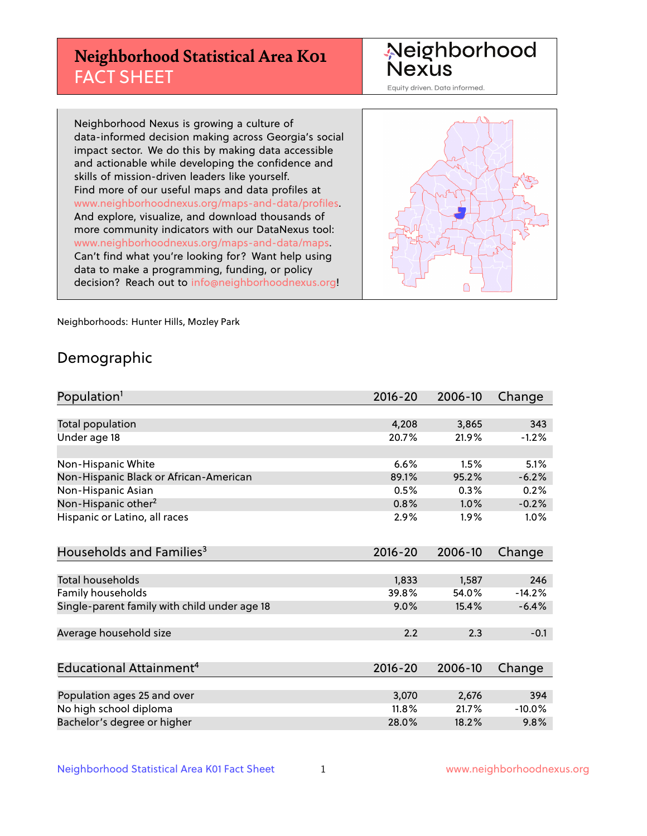## **Neighborhood Statistical Area K01** FACT SHEET

Neighborhood Nexus

Equity driven. Data informed.

Neighborhood Nexus is growing a culture of data-informed decision making across Georgia's social impact sector. We do this by making data accessible and actionable while developing the confidence and skills of mission-driven leaders like yourself. Find more of our useful maps and data profiles at www.neighborhoodnexus.org/maps-and-data/profiles. And explore, visualize, and download thousands of more community indicators with our DataNexus tool: www.neighborhoodnexus.org/maps-and-data/maps. Can't find what you're looking for? Want help using data to make a programming, funding, or policy decision? Reach out to [info@neighborhoodnexus.org!](mailto:info@neighborhoodnexus.org)



Neighborhoods: Hunter Hills, Mozley Park

### Demographic

| Population <sup>1</sup>                      | $2016 - 20$ | 2006-10 | Change   |
|----------------------------------------------|-------------|---------|----------|
|                                              |             |         |          |
| <b>Total population</b>                      | 4,208       | 3,865   | 343      |
| Under age 18                                 | 20.7%       | 21.9%   | $-1.2%$  |
|                                              |             |         |          |
| Non-Hispanic White                           | 6.6%        | 1.5%    | 5.1%     |
| Non-Hispanic Black or African-American       | 89.1%       | 95.2%   | $-6.2%$  |
| Non-Hispanic Asian                           | 0.5%        | 0.3%    | 0.2%     |
| Non-Hispanic other <sup>2</sup>              | 0.8%        | 1.0%    | $-0.2%$  |
| Hispanic or Latino, all races                | 2.9%        | 1.9%    | $1.0\%$  |
|                                              |             |         |          |
| Households and Families <sup>3</sup>         | $2016 - 20$ | 2006-10 | Change   |
|                                              |             |         |          |
| Total households                             | 1,833       | 1,587   | 246      |
| Family households                            | 39.8%       | 54.0%   | $-14.2%$ |
| Single-parent family with child under age 18 | 9.0%        | 15.4%   | $-6.4%$  |
|                                              |             |         |          |
| Average household size                       | 2.2         | 2.3     | $-0.1$   |
|                                              |             |         |          |
| Educational Attainment <sup>4</sup>          | $2016 - 20$ | 2006-10 | Change   |
|                                              |             |         |          |
| Population ages 25 and over                  | 3,070       | 2,676   | 394      |
| No high school diploma                       | 11.8%       | 21.7%   | $-10.0%$ |
| Bachelor's degree or higher                  | 28.0%       | 18.2%   | 9.8%     |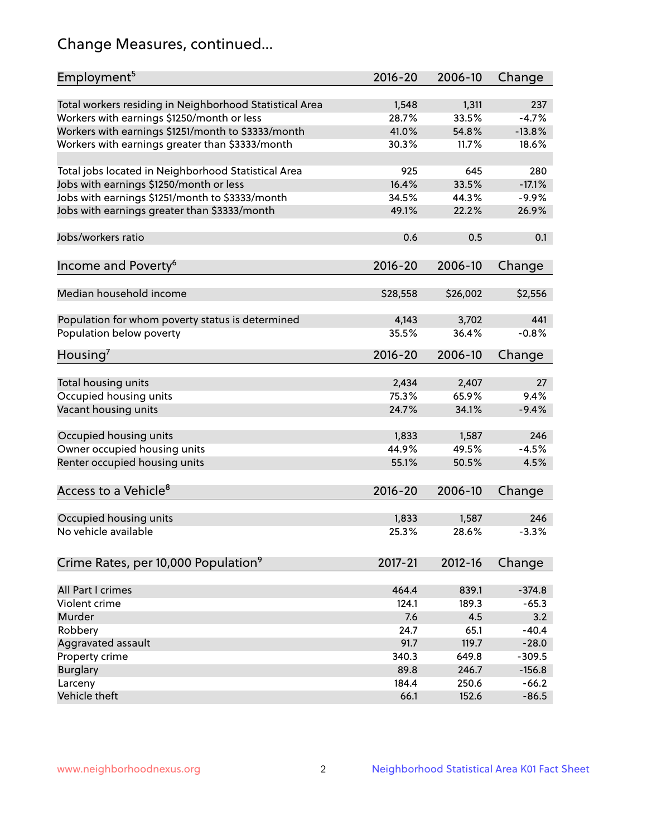## Change Measures, continued...

| Employment <sup>5</sup>                                 | $2016 - 20$ | 2006-10  | Change   |
|---------------------------------------------------------|-------------|----------|----------|
| Total workers residing in Neighborhood Statistical Area | 1,548       | 1,311    | 237      |
| Workers with earnings \$1250/month or less              | 28.7%       | 33.5%    | $-4.7%$  |
| Workers with earnings \$1251/month to \$3333/month      | 41.0%       | 54.8%    | $-13.8%$ |
| Workers with earnings greater than \$3333/month         | 30.3%       | 11.7%    | 18.6%    |
|                                                         |             |          |          |
| Total jobs located in Neighborhood Statistical Area     | 925         | 645      | 280      |
| Jobs with earnings \$1250/month or less                 | 16.4%       | 33.5%    | $-17.1%$ |
| Jobs with earnings \$1251/month to \$3333/month         | 34.5%       | 44.3%    | $-9.9%$  |
| Jobs with earnings greater than \$3333/month            | 49.1%       | 22.2%    | 26.9%    |
|                                                         |             |          |          |
| Jobs/workers ratio                                      | 0.6         | 0.5      | 0.1      |
|                                                         |             |          |          |
| Income and Poverty <sup>6</sup>                         | $2016 - 20$ | 2006-10  | Change   |
|                                                         |             |          |          |
| Median household income                                 | \$28,558    | \$26,002 | \$2,556  |
|                                                         |             |          |          |
| Population for whom poverty status is determined        | 4,143       | 3,702    | 441      |
| Population below poverty                                | 35.5%       | 36.4%    | $-0.8%$  |
|                                                         |             |          |          |
| Housing'                                                | 2016-20     | 2006-10  | Change   |
|                                                         |             |          |          |
| Total housing units                                     | 2,434       | 2,407    | 27       |
| Occupied housing units                                  | 75.3%       | 65.9%    | 9.4%     |
| Vacant housing units                                    | 24.7%       | 34.1%    | $-9.4%$  |
|                                                         |             |          |          |
| Occupied housing units                                  | 1,833       | 1,587    | 246      |
| Owner occupied housing units                            | 44.9%       | 49.5%    | $-4.5%$  |
| Renter occupied housing units                           | 55.1%       | 50.5%    | 4.5%     |
|                                                         |             |          |          |
| Access to a Vehicle <sup>8</sup>                        | $2016 - 20$ | 2006-10  | Change   |
|                                                         |             |          |          |
| Occupied housing units                                  | 1,833       | 1,587    | 246      |
| No vehicle available                                    | 25.3%       | 28.6%    | $-3.3%$  |
|                                                         |             |          |          |
| Crime Rates, per 10,000 Population <sup>9</sup>         | 2017-21     | 2012-16  | Change   |
|                                                         |             |          |          |
| All Part I crimes                                       | 464.4       | 839.1    | $-374.8$ |
| Violent crime                                           | 124.1       | 189.3    | $-65.3$  |
| <b>Murder</b>                                           | 7.6         | 4.5      | 3.2      |
| Robbery                                                 | 24.7        | 65.1     | $-40.4$  |
| Aggravated assault                                      | 91.7        | 119.7    | $-28.0$  |
| Property crime                                          | 340.3       | 649.8    | $-309.5$ |
| <b>Burglary</b>                                         | 89.8        | 246.7    | $-156.8$ |
| Larceny                                                 | 184.4       | 250.6    | $-66.2$  |
| Vehicle theft                                           | 66.1        | 152.6    | $-86.5$  |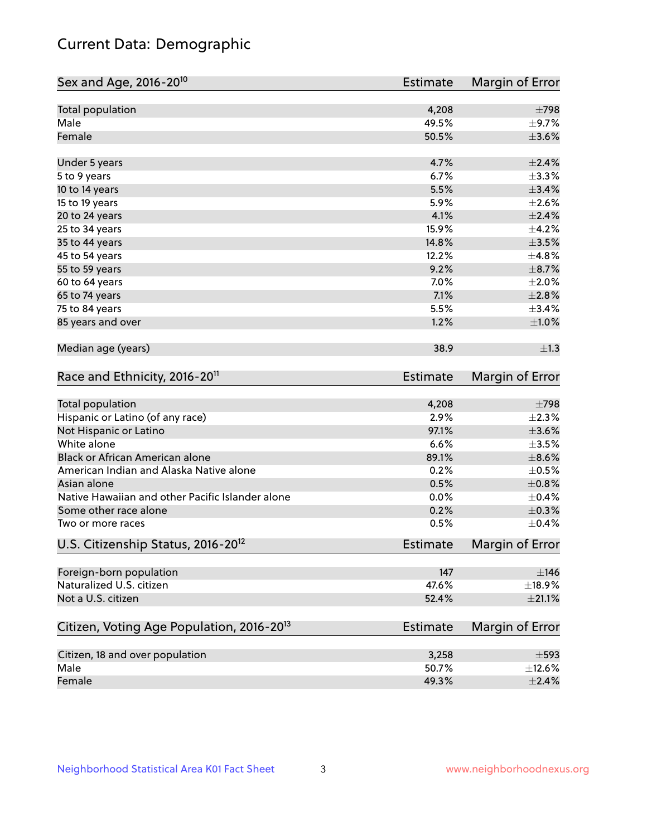## Current Data: Demographic

| Sex and Age, 2016-20 <sup>10</sup>                    | Estimate        | Margin of Error |
|-------------------------------------------------------|-----------------|-----------------|
| Total population                                      | 4,208           | $\pm 798$       |
| Male                                                  | 49.5%           | $\pm$ 9.7%      |
| Female                                                | 50.5%           | $\pm 3.6\%$     |
| Under 5 years                                         | 4.7%            | $\pm 2.4\%$     |
| 5 to 9 years                                          | 6.7%            | ±3.3%           |
| 10 to 14 years                                        | 5.5%            | $\pm$ 3.4%      |
| 15 to 19 years                                        | 5.9%            | $\pm 2.6\%$     |
| 20 to 24 years                                        | 4.1%            | $\pm 2.4\%$     |
| 25 to 34 years                                        | 15.9%           | $\pm$ 4.2%      |
| 35 to 44 years                                        | 14.8%           | $\pm 3.5\%$     |
| 45 to 54 years                                        | 12.2%           | ±4.8%           |
| 55 to 59 years                                        | 9.2%            | $\pm$ 8.7%      |
| 60 to 64 years                                        | 7.0%            | $\pm 2.0\%$     |
| 65 to 74 years                                        | 7.1%            | $\pm 2.8\%$     |
| 75 to 84 years                                        | 5.5%            | ±3.4%           |
| 85 years and over                                     | 1.2%            | $\pm 1.0\%$     |
| Median age (years)                                    | 38.9            | $\pm 1.3$       |
| Race and Ethnicity, 2016-20 <sup>11</sup>             | <b>Estimate</b> | Margin of Error |
| Total population                                      | 4,208           | $\pm 798$       |
| Hispanic or Latino (of any race)                      | 2.9%            | $\pm 2.3\%$     |
| Not Hispanic or Latino                                | 97.1%           | $\pm 3.6\%$     |
| White alone                                           | 6.6%            | $\pm 3.5\%$     |
| Black or African American alone                       | 89.1%           | $\pm$ 8.6%      |
| American Indian and Alaska Native alone               | 0.2%            | $\pm$ 0.5%      |
| Asian alone                                           | 0.5%            | $\pm$ 0.8%      |
| Native Hawaiian and other Pacific Islander alone      | 0.0%            | $\pm$ 0.4%      |
| Some other race alone                                 | 0.2%            | $\pm$ 0.3%      |
| Two or more races                                     | 0.5%            | $\pm$ 0.4%      |
| U.S. Citizenship Status, 2016-20 <sup>12</sup>        | <b>Estimate</b> | Margin of Error |
| Foreign-born population                               | 147             | $\pm$ 146       |
| Naturalized U.S. citizen                              | 47.6%           | ±18.9%          |
| Not a U.S. citizen                                    | 52.4%           | $\pm 21.1\%$    |
| Citizen, Voting Age Population, 2016-20 <sup>13</sup> | Estimate        | Margin of Error |
| Citizen, 18 and over population                       | 3,258           | $\pm$ 593       |
| Male                                                  | 50.7%           | ±12.6%          |
| Female                                                | 49.3%           | $\pm 2.4\%$     |
|                                                       |                 |                 |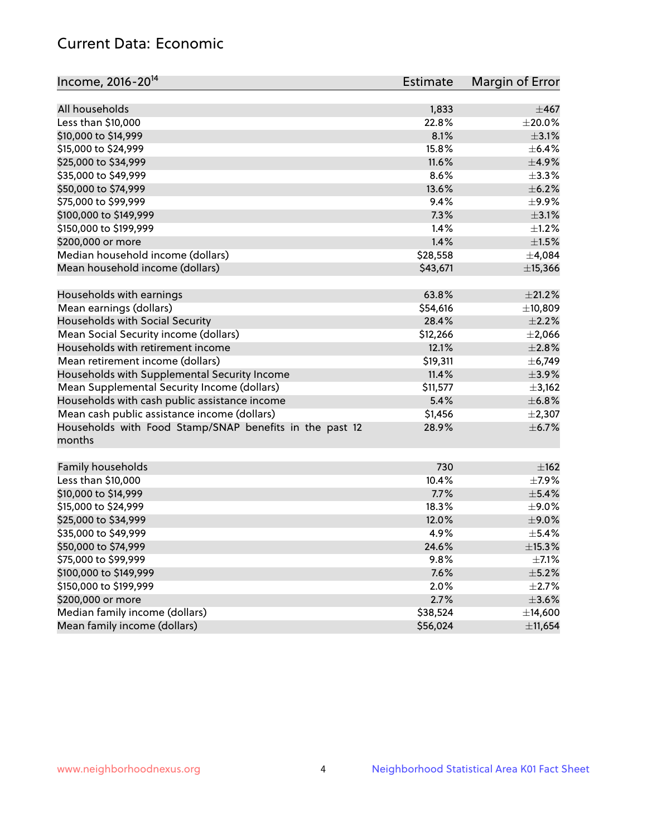## Current Data: Economic

| All households<br>1,833<br>$\pm$ 467<br>Less than \$10,000<br>22.8%<br>$\pm 20.0\%$<br>8.1%<br>$\pm$ 3.1%<br>\$10,000 to \$14,999<br>15.8%<br>\$15,000 to \$24,999<br>$\pm$ 6.4%<br>\$25,000 to \$34,999<br>11.6%<br>$\pm$ 4.9%<br>$\pm$ 3.3%<br>\$35,000 to \$49,999<br>8.6%<br>\$50,000 to \$74,999<br>13.6%<br>$\pm$ 6.2%<br>\$75,000 to \$99,999<br>$\pm$ 9.9%<br>9.4%<br>7.3%<br>$\pm$ 3.1%<br>\$100,000 to \$149,999<br>1.4%<br>$\pm 1.2\%$<br>\$150,000 to \$199,999<br>1.4%<br>\$200,000 or more<br>$\pm 1.5\%$<br>Median household income (dollars)<br>\$28,558<br>±4,084<br>Mean household income (dollars)<br>\$43,671<br>±15,366 | Income, 2016-20 <sup>14</sup> | Estimate | Margin of Error |
|----------------------------------------------------------------------------------------------------------------------------------------------------------------------------------------------------------------------------------------------------------------------------------------------------------------------------------------------------------------------------------------------------------------------------------------------------------------------------------------------------------------------------------------------------------------------------------------------------------------------------------------------|-------------------------------|----------|-----------------|
|                                                                                                                                                                                                                                                                                                                                                                                                                                                                                                                                                                                                                                              |                               |          |                 |
|                                                                                                                                                                                                                                                                                                                                                                                                                                                                                                                                                                                                                                              |                               |          |                 |
|                                                                                                                                                                                                                                                                                                                                                                                                                                                                                                                                                                                                                                              |                               |          |                 |
|                                                                                                                                                                                                                                                                                                                                                                                                                                                                                                                                                                                                                                              |                               |          |                 |
|                                                                                                                                                                                                                                                                                                                                                                                                                                                                                                                                                                                                                                              |                               |          |                 |
|                                                                                                                                                                                                                                                                                                                                                                                                                                                                                                                                                                                                                                              |                               |          |                 |
|                                                                                                                                                                                                                                                                                                                                                                                                                                                                                                                                                                                                                                              |                               |          |                 |
|                                                                                                                                                                                                                                                                                                                                                                                                                                                                                                                                                                                                                                              |                               |          |                 |
|                                                                                                                                                                                                                                                                                                                                                                                                                                                                                                                                                                                                                                              |                               |          |                 |
|                                                                                                                                                                                                                                                                                                                                                                                                                                                                                                                                                                                                                                              |                               |          |                 |
|                                                                                                                                                                                                                                                                                                                                                                                                                                                                                                                                                                                                                                              |                               |          |                 |
|                                                                                                                                                                                                                                                                                                                                                                                                                                                                                                                                                                                                                                              |                               |          |                 |
|                                                                                                                                                                                                                                                                                                                                                                                                                                                                                                                                                                                                                                              |                               |          |                 |
|                                                                                                                                                                                                                                                                                                                                                                                                                                                                                                                                                                                                                                              |                               |          |                 |
| Households with earnings<br>63.8%<br>$\pm 21.2\%$                                                                                                                                                                                                                                                                                                                                                                                                                                                                                                                                                                                            |                               |          |                 |
| Mean earnings (dollars)<br>\$54,616<br>±10,809                                                                                                                                                                                                                                                                                                                                                                                                                                                                                                                                                                                               |                               |          |                 |
| Households with Social Security<br>28.4%<br>$\pm 2.2\%$                                                                                                                                                                                                                                                                                                                                                                                                                                                                                                                                                                                      |                               |          |                 |
| Mean Social Security income (dollars)<br>\$12,266<br>$\pm 2,066$                                                                                                                                                                                                                                                                                                                                                                                                                                                                                                                                                                             |                               |          |                 |
| Households with retirement income<br>12.1%<br>$\pm 2.8\%$                                                                                                                                                                                                                                                                                                                                                                                                                                                                                                                                                                                    |                               |          |                 |
| Mean retirement income (dollars)<br>\$19,311<br>± 6,749                                                                                                                                                                                                                                                                                                                                                                                                                                                                                                                                                                                      |                               |          |                 |
| Households with Supplemental Security Income<br>11.4%<br>$\pm$ 3.9%                                                                                                                                                                                                                                                                                                                                                                                                                                                                                                                                                                          |                               |          |                 |
| \$11,577<br>Mean Supplemental Security Income (dollars)<br>±3,162                                                                                                                                                                                                                                                                                                                                                                                                                                                                                                                                                                            |                               |          |                 |
| 5.4%<br>±6.8%                                                                                                                                                                                                                                                                                                                                                                                                                                                                                                                                                                                                                                |                               |          |                 |
| Households with cash public assistance income<br>Mean cash public assistance income (dollars)<br>\$1,456<br>$\pm 2,307$                                                                                                                                                                                                                                                                                                                                                                                                                                                                                                                      |                               |          |                 |
|                                                                                                                                                                                                                                                                                                                                                                                                                                                                                                                                                                                                                                              |                               |          |                 |
| 28.9%<br>$\pm$ 6.7%<br>Households with Food Stamp/SNAP benefits in the past 12<br>months                                                                                                                                                                                                                                                                                                                                                                                                                                                                                                                                                     |                               |          |                 |
| Family households<br>730<br>$\pm$ 162                                                                                                                                                                                                                                                                                                                                                                                                                                                                                                                                                                                                        |                               |          |                 |
| Less than \$10,000<br>10.4%<br>$\pm$ 7.9%                                                                                                                                                                                                                                                                                                                                                                                                                                                                                                                                                                                                    |                               |          |                 |
| $\pm$ 5.4%<br>\$10,000 to \$14,999<br>7.7%                                                                                                                                                                                                                                                                                                                                                                                                                                                                                                                                                                                                   |                               |          |                 |
| \$15,000 to \$24,999<br>18.3%<br>$\pm$ 9.0%                                                                                                                                                                                                                                                                                                                                                                                                                                                                                                                                                                                                  |                               |          |                 |
| \$25,000 to \$34,999<br>12.0%<br>$\pm$ 9.0%                                                                                                                                                                                                                                                                                                                                                                                                                                                                                                                                                                                                  |                               |          |                 |
| \$35,000 to \$49,999<br>4.9%<br>$\pm$ 5.4%                                                                                                                                                                                                                                                                                                                                                                                                                                                                                                                                                                                                   |                               |          |                 |
| $\pm$ 15.3%<br>\$50,000 to \$74,999<br>24.6%                                                                                                                                                                                                                                                                                                                                                                                                                                                                                                                                                                                                 |                               |          |                 |
| \$75,000 to \$99,999<br>$\pm$ 7.1%<br>9.8%                                                                                                                                                                                                                                                                                                                                                                                                                                                                                                                                                                                                   |                               |          |                 |
| \$100,000 to \$149,999<br>7.6%<br>$\pm$ 5.2%                                                                                                                                                                                                                                                                                                                                                                                                                                                                                                                                                                                                 |                               |          |                 |
| \$150,000 to \$199,999<br>2.0%<br>$\pm 2.7\%$                                                                                                                                                                                                                                                                                                                                                                                                                                                                                                                                                                                                |                               |          |                 |
| 2.7%<br>\$200,000 or more<br>$\pm 3.6\%$                                                                                                                                                                                                                                                                                                                                                                                                                                                                                                                                                                                                     |                               |          |                 |
| Median family income (dollars)<br>\$38,524<br>±14,600                                                                                                                                                                                                                                                                                                                                                                                                                                                                                                                                                                                        |                               |          |                 |
| Mean family income (dollars)<br>\$56,024<br>±11,654                                                                                                                                                                                                                                                                                                                                                                                                                                                                                                                                                                                          |                               |          |                 |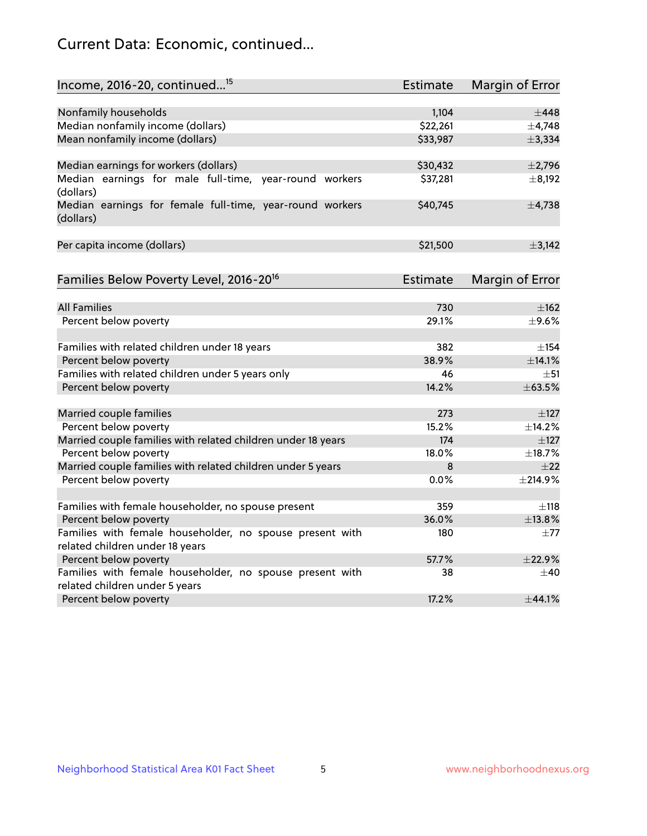## Current Data: Economic, continued...

| Income, 2016-20, continued <sup>15</sup>                                                    | <b>Estimate</b>   | Margin of Error     |
|---------------------------------------------------------------------------------------------|-------------------|---------------------|
|                                                                                             |                   |                     |
| Nonfamily households                                                                        | 1,104<br>\$22,261 | $\pm$ 448<br>±4,748 |
| Median nonfamily income (dollars)                                                           |                   |                     |
| Mean nonfamily income (dollars)                                                             | \$33,987          | ±3,334              |
| Median earnings for workers (dollars)                                                       | \$30,432          | $\pm$ 2,796         |
| Median earnings for male full-time, year-round workers<br>(dollars)                         | \$37,281          | $\pm$ 8,192         |
| Median earnings for female full-time, year-round workers<br>(dollars)                       | \$40,745          | $\pm$ 4,738         |
| Per capita income (dollars)                                                                 | \$21,500          | ±3,142              |
| Families Below Poverty Level, 2016-20 <sup>16</sup>                                         | Estimate          | Margin of Error     |
|                                                                                             |                   |                     |
| <b>All Families</b>                                                                         | 730               | ±162                |
| Percent below poverty                                                                       | 29.1%             | $\pm$ 9.6%          |
| Families with related children under 18 years                                               | 382               | $\pm$ 154           |
| Percent below poverty                                                                       | 38.9%             | ±14.1%              |
| Families with related children under 5 years only                                           | 46                | $\pm$ 51            |
| Percent below poverty                                                                       | 14.2%             | ±63.5%              |
| Married couple families                                                                     | 273               | $\pm$ 127           |
| Percent below poverty                                                                       | 15.2%             | $+14.2%$            |
| Married couple families with related children under 18 years                                | 174               | $\pm$ 127           |
| Percent below poverty                                                                       | 18.0%             | ±18.7%              |
| Married couple families with related children under 5 years                                 | 8                 | $+22$               |
| Percent below poverty                                                                       | 0.0%              | $±$ 214.9%          |
|                                                                                             |                   |                     |
| Families with female householder, no spouse present                                         | 359               | $\pm$ 118           |
| Percent below poverty                                                                       | 36.0%             | ±13.8%              |
| Families with female householder, no spouse present with<br>related children under 18 years | 180               | $\pm 77$            |
| Percent below poverty                                                                       | 57.7%             | $+22.9%$            |
| Families with female householder, no spouse present with                                    | 38                | $\pm 40$            |
| related children under 5 years                                                              |                   |                     |
| Percent below poverty                                                                       | 17.2%             | ±44.1%              |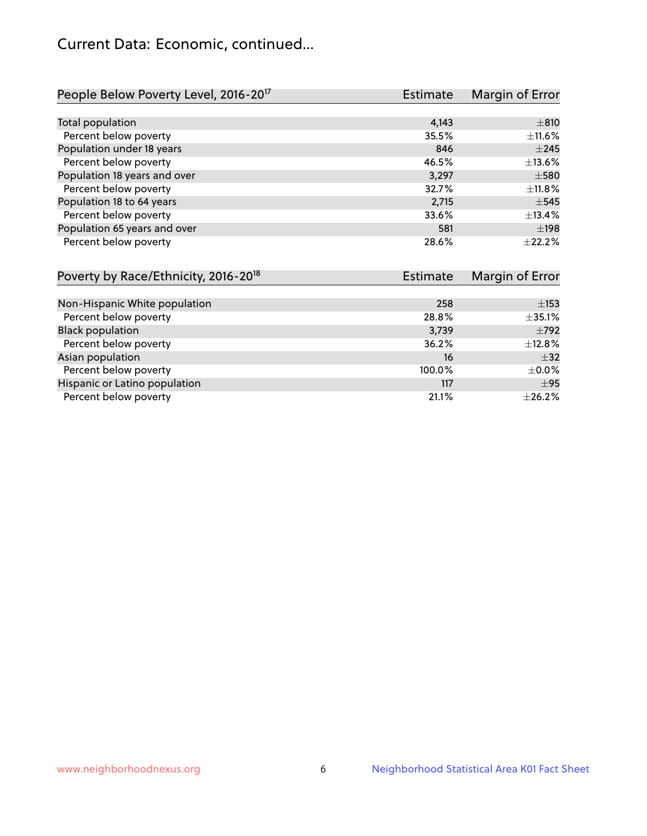## Current Data: Economic, continued...

| People Below Poverty Level, 2016-20 <sup>17</sup> | <b>Estimate</b> | Margin of Error |
|---------------------------------------------------|-----------------|-----------------|
|                                                   |                 |                 |
| Total population                                  | 4,143           | $\pm$ 810       |
| Percent below poverty                             | 35.5%           | $\pm$ 11.6%     |
| Population under 18 years                         | 846             | $\pm 245$       |
| Percent below poverty                             | 46.5%           | ±13.6%          |
| Population 18 years and over                      | 3,297           | $\pm$ 580       |
| Percent below poverty                             | 32.7%           | ±11.8%          |
| Population 18 to 64 years                         | 2,715           | $\pm$ 545       |
| Percent below poverty                             | 33.6%           | ±13.4%          |
| Population 65 years and over                      | 581             | $\pm$ 198       |
| Percent below poverty                             | 28.6%           | $+22.2%$        |

| Poverty by Race/Ethnicity, 2016-20 <sup>18</sup> | Estimate | Margin of Error |
|--------------------------------------------------|----------|-----------------|
|                                                  |          |                 |
| Non-Hispanic White population                    | 258      | $\pm$ 153       |
| Percent below poverty                            | 28.8%    | ±35.1%          |
| <b>Black population</b>                          | 3,739    | $\pm$ 792       |
| Percent below poverty                            | 36.2%    | ±12.8%          |
| Asian population                                 | 16       | $\pm$ 32        |
| Percent below poverty                            | 100.0%   | $\pm$ 0.0%      |
| Hispanic or Latino population                    | 117      | $\pm$ 95        |
| Percent below poverty                            | 21.1%    | $+26.2%$        |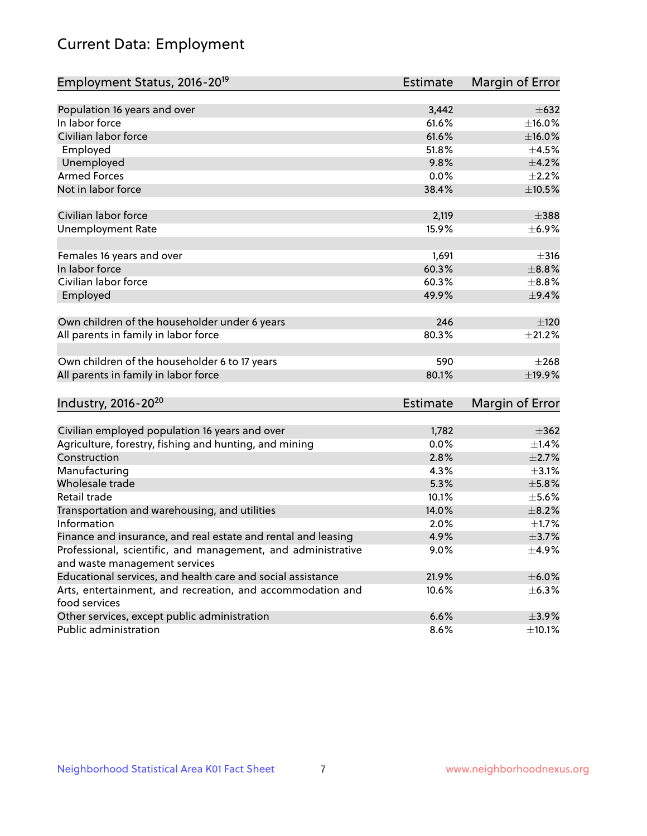# Current Data: Employment

| Employment Status, 2016-20 <sup>19</sup>                                    | <b>Estimate</b> | Margin of Error           |
|-----------------------------------------------------------------------------|-----------------|---------------------------|
|                                                                             |                 |                           |
| Population 16 years and over                                                | 3,442           | $\pm 632$                 |
| In labor force                                                              | 61.6%           | $\pm$ 16.0%               |
| Civilian labor force                                                        | 61.6%           | $\pm$ 16.0%               |
| Employed                                                                    | 51.8%           | $\pm 4.5\%$               |
| Unemployed                                                                  | 9.8%            | $\pm$ 4.2%                |
| <b>Armed Forces</b>                                                         | 0.0%            | $\pm 2.2\%$               |
| Not in labor force                                                          | 38.4%           | $\pm$ 10.5%               |
| Civilian labor force                                                        | 2,119           | $\pm$ 388                 |
| <b>Unemployment Rate</b>                                                    | 15.9%           | $\pm$ 6.9%                |
|                                                                             |                 |                           |
| Females 16 years and over                                                   | 1,691           | $\pm$ 316                 |
| In labor force                                                              | 60.3%           | $\pm$ 8.8%                |
| Civilian labor force                                                        | 60.3%           | $\pm$ 8.8%                |
| Employed                                                                    | 49.9%           | $\pm$ 9.4%                |
|                                                                             |                 |                           |
| Own children of the householder under 6 years                               | 246             | ±120                      |
| All parents in family in labor force                                        | 80.3%           | $\pm 21.2\%$              |
| Own children of the householder 6 to 17 years                               | 590             | $+268$                    |
| All parents in family in labor force                                        | 80.1%           | ±19.9%                    |
|                                                                             |                 |                           |
| Industry, 2016-20 <sup>20</sup>                                             | <b>Estimate</b> | Margin of Error           |
| Civilian employed population 16 years and over                              | 1,782           | $\pm$ 362                 |
|                                                                             | 0.0%            | $\pm$ 1.4%                |
| Agriculture, forestry, fishing and hunting, and mining<br>Construction      |                 |                           |
|                                                                             | 2.8%            | $\pm 2.7\%$<br>$\pm$ 3.1% |
| Manufacturing<br>Wholesale trade                                            | 4.3%            |                           |
|                                                                             | 5.3%            | $\pm$ 5.8%                |
| Retail trade                                                                | 10.1%           | $\pm$ 5.6%                |
| Transportation and warehousing, and utilities                               | 14.0%           | $\pm$ 8.2%                |
| Information                                                                 | 2.0%            | $\pm1.7\%$                |
| Finance and insurance, and real estate and rental and leasing               | 4.9%            | $\pm$ 3.7%                |
| Professional, scientific, and management, and administrative                | 9.0%            | $\pm$ 4.9%                |
| and waste management services                                               |                 |                           |
| Educational services, and health care and social assistance                 | 21.9%           | $\pm$ 6.0%                |
| Arts, entertainment, and recreation, and accommodation and<br>food services | 10.6%           | $\pm$ 6.3%                |
| Other services, except public administration                                | 6.6%            | $\pm$ 3.9%                |
| Public administration                                                       | 8.6%            | $\pm$ 10.1%               |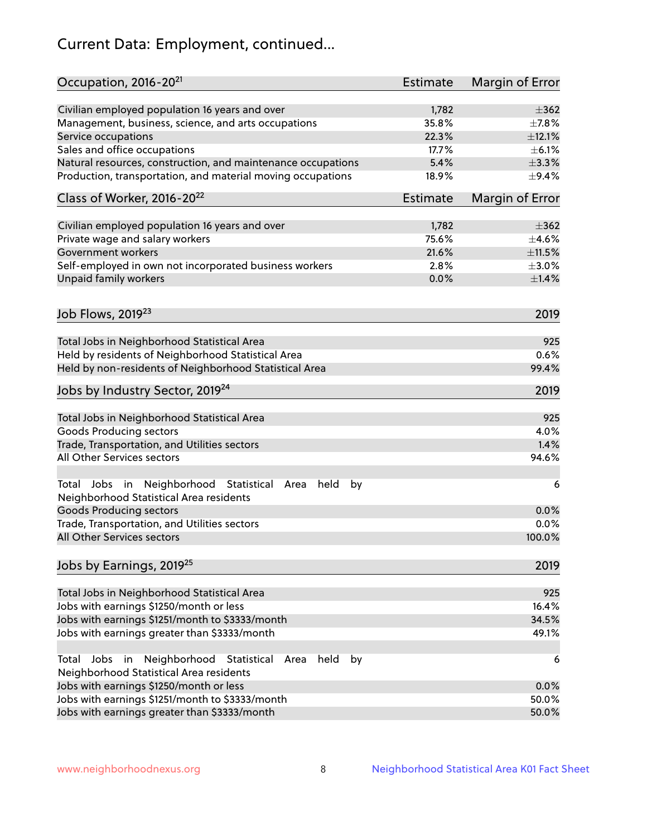# Current Data: Employment, continued...

| Occupation, 2016-20 <sup>21</sup>                                                                       | <b>Estimate</b> | Margin of Error |
|---------------------------------------------------------------------------------------------------------|-----------------|-----------------|
| Civilian employed population 16 years and over                                                          | 1,782           | $\pm$ 362       |
| Management, business, science, and arts occupations                                                     | 35.8%           | $\pm$ 7.8%      |
| Service occupations                                                                                     | 22.3%           | ±12.1%          |
| Sales and office occupations                                                                            | 17.7%           | $\pm$ 6.1%      |
| Natural resources, construction, and maintenance occupations                                            | 5.4%            | $\pm$ 3.3%      |
| Production, transportation, and material moving occupations                                             | 18.9%           | $\pm$ 9.4%      |
| Class of Worker, 2016-20 <sup>22</sup>                                                                  | Estimate        | Margin of Error |
| Civilian employed population 16 years and over                                                          | 1,782           | $\pm$ 362       |
| Private wage and salary workers                                                                         | 75.6%           | $\pm 4.6\%$     |
| Government workers                                                                                      | 21.6%           | ±11.5%          |
| Self-employed in own not incorporated business workers                                                  | 2.8%            | $\pm 3.0\%$     |
| Unpaid family workers                                                                                   | 0.0%            | $\pm 1.4\%$     |
|                                                                                                         |                 |                 |
| Job Flows, 2019 <sup>23</sup>                                                                           |                 | 2019            |
| Total Jobs in Neighborhood Statistical Area                                                             |                 | 925             |
| Held by residents of Neighborhood Statistical Area                                                      |                 | 0.6%            |
| Held by non-residents of Neighborhood Statistical Area                                                  |                 | 99.4%           |
| Jobs by Industry Sector, 2019 <sup>24</sup>                                                             |                 | 2019            |
| Total Jobs in Neighborhood Statistical Area                                                             |                 | 925             |
| <b>Goods Producing sectors</b>                                                                          |                 | 4.0%            |
| Trade, Transportation, and Utilities sectors                                                            |                 | 1.4%            |
| All Other Services sectors                                                                              |                 | 94.6%           |
| Total Jobs in Neighborhood Statistical<br>held<br>by<br>Area<br>Neighborhood Statistical Area residents |                 | 6               |
| <b>Goods Producing sectors</b>                                                                          |                 | 0.0%            |
| Trade, Transportation, and Utilities sectors                                                            |                 | 0.0%            |
| All Other Services sectors                                                                              |                 | 100.0%          |
| Jobs by Earnings, 2019 <sup>25</sup>                                                                    |                 | 2019            |
| Total Jobs in Neighborhood Statistical Area                                                             |                 | 925             |
| Jobs with earnings \$1250/month or less                                                                 |                 | 16.4%           |
| Jobs with earnings \$1251/month to \$3333/month                                                         |                 | 34.5%           |
| Jobs with earnings greater than \$3333/month                                                            |                 | 49.1%           |
| Neighborhood Statistical<br>Jobs<br>in<br>held<br>by<br>Total<br>Area                                   |                 | 6               |
| Neighborhood Statistical Area residents                                                                 |                 |                 |
| Jobs with earnings \$1250/month or less                                                                 |                 | 0.0%            |
| Jobs with earnings \$1251/month to \$3333/month                                                         |                 | 50.0%           |
| Jobs with earnings greater than \$3333/month                                                            |                 | 50.0%           |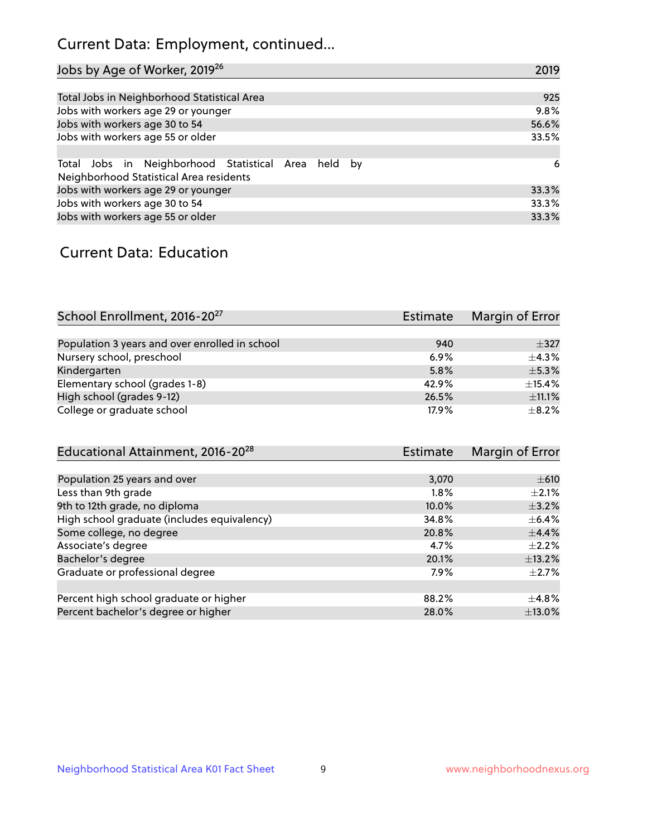## Current Data: Employment, continued...

| Jobs by Age of Worker, 2019 <sup>26</sup>                                                      | 2019  |
|------------------------------------------------------------------------------------------------|-------|
|                                                                                                |       |
| Total Jobs in Neighborhood Statistical Area                                                    | 925   |
| Jobs with workers age 29 or younger                                                            | 9.8%  |
| Jobs with workers age 30 to 54                                                                 | 56.6% |
| Jobs with workers age 55 or older                                                              | 33.5% |
|                                                                                                |       |
| Total Jobs in Neighborhood Statistical Area held by<br>Neighborhood Statistical Area residents | 6     |
| Jobs with workers age 29 or younger                                                            | 33.3% |
| Jobs with workers age 30 to 54                                                                 | 33.3% |
| Jobs with workers age 55 or older                                                              | 33.3% |

### Current Data: Education

| School Enrollment, 2016-20 <sup>27</sup>       | <b>Estimate</b> | Margin of Error |
|------------------------------------------------|-----------------|-----------------|
|                                                |                 |                 |
| Population 3 years and over enrolled in school | 940             | $\pm$ 327       |
| Nursery school, preschool                      | 6.9%            | $+4.3%$         |
| Kindergarten                                   | 5.8%            | $\pm$ 5.3%      |
| Elementary school (grades 1-8)                 | 42.9%           | $\pm$ 15.4%     |
| High school (grades 9-12)                      | 26.5%           | ±11.1%          |
| College or graduate school                     | 17.9%           | $+8.2%$         |

| Educational Attainment, 2016-20 <sup>28</sup> | Estimate | Margin of Error |
|-----------------------------------------------|----------|-----------------|
|                                               |          |                 |
| Population 25 years and over                  | 3,070    | $\pm 610$       |
| Less than 9th grade                           | $1.8\%$  | $+2.1%$         |
| 9th to 12th grade, no diploma                 | 10.0%    | $\pm$ 3.2%      |
| High school graduate (includes equivalency)   | 34.8%    | $\pm$ 6.4%      |
| Some college, no degree                       | 20.8%    | $\pm$ 4.4%      |
| Associate's degree                            | 4.7%     | $\pm 2.2\%$     |
| Bachelor's degree                             | 20.1%    | ±13.2%          |
| Graduate or professional degree               | 7.9%     | $\pm 2.7\%$     |
|                                               |          |                 |
| Percent high school graduate or higher        | 88.2%    | $+4.8%$         |
| Percent bachelor's degree or higher           | 28.0%    | ±13.0%          |
|                                               |          |                 |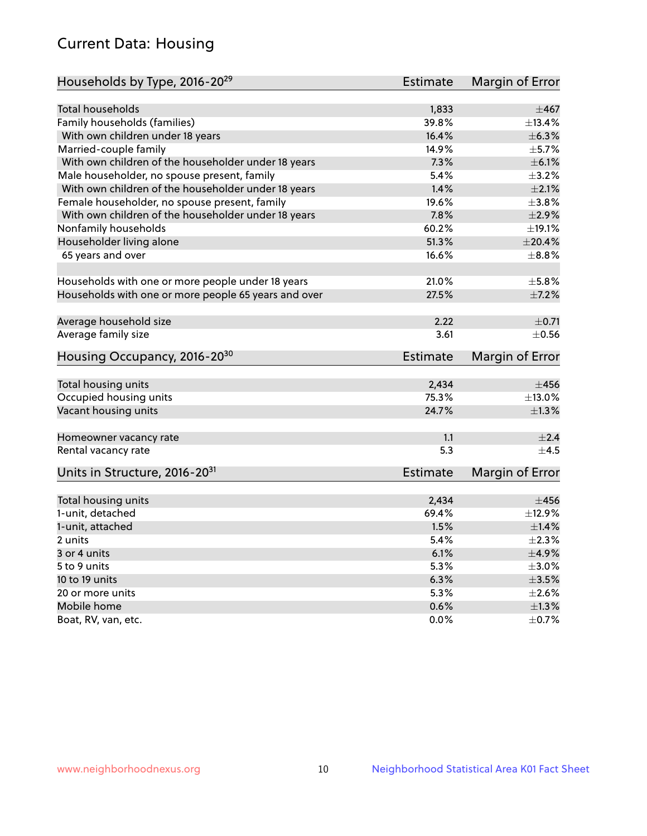## Current Data: Housing

| <b>Total households</b><br>1,833<br>Family households (families)<br>39.8%<br>±6.3%<br>With own children under 18 years<br>16.4%<br>14.9%<br>Married-couple family<br>$\pm$ 5.7%<br>With own children of the householder under 18 years<br>7.3%<br>$\pm$ 6.1%<br>Male householder, no spouse present, family<br>5.4%<br>$\pm$ 3.2%<br>With own children of the householder under 18 years<br>1.4%<br>$\pm 2.1\%$<br>19.6%<br>Female householder, no spouse present, family<br>$\pm$ 3.8%<br>With own children of the householder under 18 years<br>7.8%<br>$\pm 2.9\%$<br>±19.1%<br>Nonfamily households<br>60.2%<br>51.3%<br>$\pm 20.4\%$<br>Householder living alone<br>65 years and over<br>16.6%<br>$\pm$ 8.8%<br>Households with one or more people under 18 years<br>21.0%<br>$\pm$ 5.8%<br>Households with one or more people 65 years and over<br>27.5%<br>$\pm$ 7.2%<br>Average household size<br>2.22<br>$\pm$ 0.71<br>Average family size<br>3.61<br>Housing Occupancy, 2016-20 <sup>30</sup><br><b>Estimate</b><br>Margin of Error<br>2,434<br>Total housing units<br>$\pm 456$<br>Occupied housing units<br>75.3%<br>Vacant housing units<br>24.7%<br>$\pm 1.3\%$<br>1.1<br>Homeowner vacancy rate<br>5.3<br>$\pm$ 4.5<br>Rental vacancy rate<br>Units in Structure, 2016-20 <sup>31</sup><br>Margin of Error<br><b>Estimate</b><br>Total housing units<br>2,434<br>$\pm 456$<br>1-unit, detached<br>69.4%<br>±12.9%<br>1.5%<br>$\pm$ 1.4%<br>1-unit, attached<br>2 units<br>5.4%<br>$\pm 2.3\%$<br>6.1%<br>$\pm$ 4.9%<br>3 or 4 units<br>5.3%<br>$\pm 3.0\%$<br>5 to 9 units<br>10 to 19 units<br>6.3%<br>$\pm 3.5\%$<br>5.3%<br>20 or more units<br>$\pm 2.6\%$ | Households by Type, 2016-20 <sup>29</sup> | Estimate | Margin of Error |
|-------------------------------------------------------------------------------------------------------------------------------------------------------------------------------------------------------------------------------------------------------------------------------------------------------------------------------------------------------------------------------------------------------------------------------------------------------------------------------------------------------------------------------------------------------------------------------------------------------------------------------------------------------------------------------------------------------------------------------------------------------------------------------------------------------------------------------------------------------------------------------------------------------------------------------------------------------------------------------------------------------------------------------------------------------------------------------------------------------------------------------------------------------------------------------------------------------------------------------------------------------------------------------------------------------------------------------------------------------------------------------------------------------------------------------------------------------------------------------------------------------------------------------------------------------------------------------------------------------------------------------------------------------------------------------|-------------------------------------------|----------|-----------------|
| $\pm 467$<br>±13.4%<br>$\pm$ 0.56<br>$\pm$ 13.0%<br>±2.4                                                                                                                                                                                                                                                                                                                                                                                                                                                                                                                                                                                                                                                                                                                                                                                                                                                                                                                                                                                                                                                                                                                                                                                                                                                                                                                                                                                                                                                                                                                                                                                                                      |                                           |          |                 |
|                                                                                                                                                                                                                                                                                                                                                                                                                                                                                                                                                                                                                                                                                                                                                                                                                                                                                                                                                                                                                                                                                                                                                                                                                                                                                                                                                                                                                                                                                                                                                                                                                                                                               |                                           |          |                 |
|                                                                                                                                                                                                                                                                                                                                                                                                                                                                                                                                                                                                                                                                                                                                                                                                                                                                                                                                                                                                                                                                                                                                                                                                                                                                                                                                                                                                                                                                                                                                                                                                                                                                               |                                           |          |                 |
|                                                                                                                                                                                                                                                                                                                                                                                                                                                                                                                                                                                                                                                                                                                                                                                                                                                                                                                                                                                                                                                                                                                                                                                                                                                                                                                                                                                                                                                                                                                                                                                                                                                                               |                                           |          |                 |
|                                                                                                                                                                                                                                                                                                                                                                                                                                                                                                                                                                                                                                                                                                                                                                                                                                                                                                                                                                                                                                                                                                                                                                                                                                                                                                                                                                                                                                                                                                                                                                                                                                                                               |                                           |          |                 |
|                                                                                                                                                                                                                                                                                                                                                                                                                                                                                                                                                                                                                                                                                                                                                                                                                                                                                                                                                                                                                                                                                                                                                                                                                                                                                                                                                                                                                                                                                                                                                                                                                                                                               |                                           |          |                 |
|                                                                                                                                                                                                                                                                                                                                                                                                                                                                                                                                                                                                                                                                                                                                                                                                                                                                                                                                                                                                                                                                                                                                                                                                                                                                                                                                                                                                                                                                                                                                                                                                                                                                               |                                           |          |                 |
|                                                                                                                                                                                                                                                                                                                                                                                                                                                                                                                                                                                                                                                                                                                                                                                                                                                                                                                                                                                                                                                                                                                                                                                                                                                                                                                                                                                                                                                                                                                                                                                                                                                                               |                                           |          |                 |
|                                                                                                                                                                                                                                                                                                                                                                                                                                                                                                                                                                                                                                                                                                                                                                                                                                                                                                                                                                                                                                                                                                                                                                                                                                                                                                                                                                                                                                                                                                                                                                                                                                                                               |                                           |          |                 |
|                                                                                                                                                                                                                                                                                                                                                                                                                                                                                                                                                                                                                                                                                                                                                                                                                                                                                                                                                                                                                                                                                                                                                                                                                                                                                                                                                                                                                                                                                                                                                                                                                                                                               |                                           |          |                 |
|                                                                                                                                                                                                                                                                                                                                                                                                                                                                                                                                                                                                                                                                                                                                                                                                                                                                                                                                                                                                                                                                                                                                                                                                                                                                                                                                                                                                                                                                                                                                                                                                                                                                               |                                           |          |                 |
|                                                                                                                                                                                                                                                                                                                                                                                                                                                                                                                                                                                                                                                                                                                                                                                                                                                                                                                                                                                                                                                                                                                                                                                                                                                                                                                                                                                                                                                                                                                                                                                                                                                                               |                                           |          |                 |
|                                                                                                                                                                                                                                                                                                                                                                                                                                                                                                                                                                                                                                                                                                                                                                                                                                                                                                                                                                                                                                                                                                                                                                                                                                                                                                                                                                                                                                                                                                                                                                                                                                                                               |                                           |          |                 |
|                                                                                                                                                                                                                                                                                                                                                                                                                                                                                                                                                                                                                                                                                                                                                                                                                                                                                                                                                                                                                                                                                                                                                                                                                                                                                                                                                                                                                                                                                                                                                                                                                                                                               |                                           |          |                 |
|                                                                                                                                                                                                                                                                                                                                                                                                                                                                                                                                                                                                                                                                                                                                                                                                                                                                                                                                                                                                                                                                                                                                                                                                                                                                                                                                                                                                                                                                                                                                                                                                                                                                               |                                           |          |                 |
|                                                                                                                                                                                                                                                                                                                                                                                                                                                                                                                                                                                                                                                                                                                                                                                                                                                                                                                                                                                                                                                                                                                                                                                                                                                                                                                                                                                                                                                                                                                                                                                                                                                                               |                                           |          |                 |
|                                                                                                                                                                                                                                                                                                                                                                                                                                                                                                                                                                                                                                                                                                                                                                                                                                                                                                                                                                                                                                                                                                                                                                                                                                                                                                                                                                                                                                                                                                                                                                                                                                                                               |                                           |          |                 |
|                                                                                                                                                                                                                                                                                                                                                                                                                                                                                                                                                                                                                                                                                                                                                                                                                                                                                                                                                                                                                                                                                                                                                                                                                                                                                                                                                                                                                                                                                                                                                                                                                                                                               |                                           |          |                 |
|                                                                                                                                                                                                                                                                                                                                                                                                                                                                                                                                                                                                                                                                                                                                                                                                                                                                                                                                                                                                                                                                                                                                                                                                                                                                                                                                                                                                                                                                                                                                                                                                                                                                               |                                           |          |                 |
|                                                                                                                                                                                                                                                                                                                                                                                                                                                                                                                                                                                                                                                                                                                                                                                                                                                                                                                                                                                                                                                                                                                                                                                                                                                                                                                                                                                                                                                                                                                                                                                                                                                                               |                                           |          |                 |
|                                                                                                                                                                                                                                                                                                                                                                                                                                                                                                                                                                                                                                                                                                                                                                                                                                                                                                                                                                                                                                                                                                                                                                                                                                                                                                                                                                                                                                                                                                                                                                                                                                                                               |                                           |          |                 |
|                                                                                                                                                                                                                                                                                                                                                                                                                                                                                                                                                                                                                                                                                                                                                                                                                                                                                                                                                                                                                                                                                                                                                                                                                                                                                                                                                                                                                                                                                                                                                                                                                                                                               |                                           |          |                 |
|                                                                                                                                                                                                                                                                                                                                                                                                                                                                                                                                                                                                                                                                                                                                                                                                                                                                                                                                                                                                                                                                                                                                                                                                                                                                                                                                                                                                                                                                                                                                                                                                                                                                               |                                           |          |                 |
|                                                                                                                                                                                                                                                                                                                                                                                                                                                                                                                                                                                                                                                                                                                                                                                                                                                                                                                                                                                                                                                                                                                                                                                                                                                                                                                                                                                                                                                                                                                                                                                                                                                                               |                                           |          |                 |
|                                                                                                                                                                                                                                                                                                                                                                                                                                                                                                                                                                                                                                                                                                                                                                                                                                                                                                                                                                                                                                                                                                                                                                                                                                                                                                                                                                                                                                                                                                                                                                                                                                                                               |                                           |          |                 |
|                                                                                                                                                                                                                                                                                                                                                                                                                                                                                                                                                                                                                                                                                                                                                                                                                                                                                                                                                                                                                                                                                                                                                                                                                                                                                                                                                                                                                                                                                                                                                                                                                                                                               |                                           |          |                 |
|                                                                                                                                                                                                                                                                                                                                                                                                                                                                                                                                                                                                                                                                                                                                                                                                                                                                                                                                                                                                                                                                                                                                                                                                                                                                                                                                                                                                                                                                                                                                                                                                                                                                               |                                           |          |                 |
|                                                                                                                                                                                                                                                                                                                                                                                                                                                                                                                                                                                                                                                                                                                                                                                                                                                                                                                                                                                                                                                                                                                                                                                                                                                                                                                                                                                                                                                                                                                                                                                                                                                                               |                                           |          |                 |
|                                                                                                                                                                                                                                                                                                                                                                                                                                                                                                                                                                                                                                                                                                                                                                                                                                                                                                                                                                                                                                                                                                                                                                                                                                                                                                                                                                                                                                                                                                                                                                                                                                                                               |                                           |          |                 |
|                                                                                                                                                                                                                                                                                                                                                                                                                                                                                                                                                                                                                                                                                                                                                                                                                                                                                                                                                                                                                                                                                                                                                                                                                                                                                                                                                                                                                                                                                                                                                                                                                                                                               |                                           |          |                 |
|                                                                                                                                                                                                                                                                                                                                                                                                                                                                                                                                                                                                                                                                                                                                                                                                                                                                                                                                                                                                                                                                                                                                                                                                                                                                                                                                                                                                                                                                                                                                                                                                                                                                               |                                           |          |                 |
|                                                                                                                                                                                                                                                                                                                                                                                                                                                                                                                                                                                                                                                                                                                                                                                                                                                                                                                                                                                                                                                                                                                                                                                                                                                                                                                                                                                                                                                                                                                                                                                                                                                                               |                                           |          |                 |
|                                                                                                                                                                                                                                                                                                                                                                                                                                                                                                                                                                                                                                                                                                                                                                                                                                                                                                                                                                                                                                                                                                                                                                                                                                                                                                                                                                                                                                                                                                                                                                                                                                                                               |                                           |          |                 |
|                                                                                                                                                                                                                                                                                                                                                                                                                                                                                                                                                                                                                                                                                                                                                                                                                                                                                                                                                                                                                                                                                                                                                                                                                                                                                                                                                                                                                                                                                                                                                                                                                                                                               |                                           |          |                 |
|                                                                                                                                                                                                                                                                                                                                                                                                                                                                                                                                                                                                                                                                                                                                                                                                                                                                                                                                                                                                                                                                                                                                                                                                                                                                                                                                                                                                                                                                                                                                                                                                                                                                               |                                           |          |                 |
|                                                                                                                                                                                                                                                                                                                                                                                                                                                                                                                                                                                                                                                                                                                                                                                                                                                                                                                                                                                                                                                                                                                                                                                                                                                                                                                                                                                                                                                                                                                                                                                                                                                                               |                                           |          |                 |
|                                                                                                                                                                                                                                                                                                                                                                                                                                                                                                                                                                                                                                                                                                                                                                                                                                                                                                                                                                                                                                                                                                                                                                                                                                                                                                                                                                                                                                                                                                                                                                                                                                                                               | Mobile home                               | 0.6%     | $\pm 1.3\%$     |
| 0.0%<br>$\pm$ 0.7%<br>Boat, RV, van, etc.                                                                                                                                                                                                                                                                                                                                                                                                                                                                                                                                                                                                                                                                                                                                                                                                                                                                                                                                                                                                                                                                                                                                                                                                                                                                                                                                                                                                                                                                                                                                                                                                                                     |                                           |          |                 |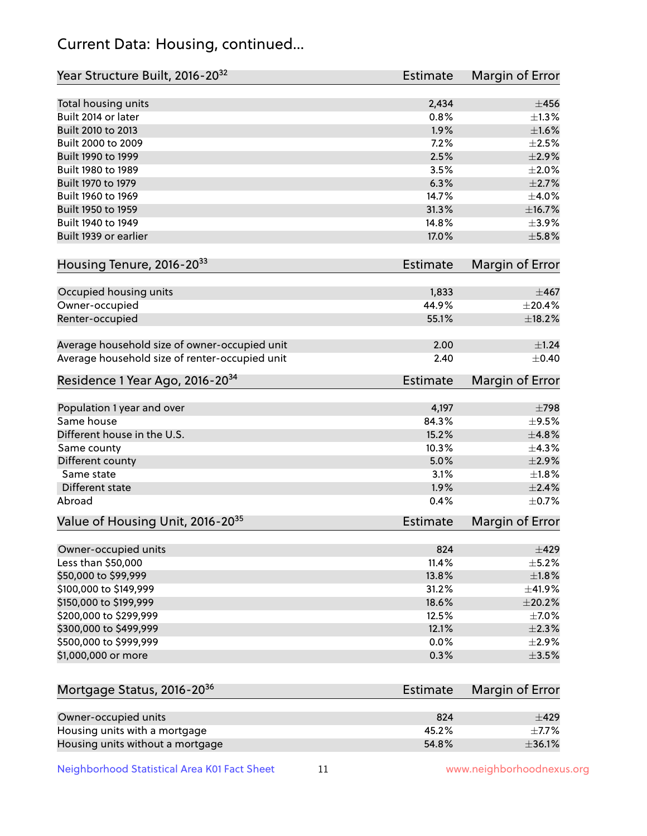## Current Data: Housing, continued...

| Total housing units<br>2,434<br>$\pm 456$<br>Built 2014 or later<br>0.8%<br>1.9%<br>Built 2010 to 2013<br>Built 2000 to 2009<br>7.2%<br>Built 1990 to 1999<br>2.5%<br>$\pm 2.9\%$<br>3.5%<br>Built 1980 to 1989<br>Built 1970 to 1979<br>6.3%<br>Built 1960 to 1969<br>14.7%<br>Built 1950 to 1959<br>31.3%<br>Built 1940 to 1949<br>14.8%<br>Built 1939 or earlier<br>17.0%<br>Housing Tenure, 2016-2033<br>Estimate<br>Occupied housing units<br>1,833<br>Owner-occupied<br>44.9%<br>55.1%<br>Renter-occupied<br>Average household size of owner-occupied unit<br>2.00<br>Average household size of renter-occupied unit<br>2.40<br>Residence 1 Year Ago, 2016-20 <sup>34</sup><br><b>Estimate</b><br>Population 1 year and over<br>4,197<br>$\pm 798$<br>Same house<br>84.3%<br>15.2%<br>Different house in the U.S.<br>10.3%<br>Same county<br>Different county<br>5.0%<br>Same state<br>3.1%<br>Different state<br>1.9%<br>Abroad<br>0.4%<br>Value of Housing Unit, 2016-20 <sup>35</sup><br><b>Estimate</b><br>824<br>Owner-occupied units<br>Less than \$50,000<br>11.4%<br>\$50,000 to \$99,999<br>13.8%<br>\$100,000 to \$149,999<br>31.2%<br>\$150,000 to \$199,999<br>18.6%<br>\$200,000 to \$299,999<br>12.5%<br>\$300,000 to \$499,999<br>12.1%<br>\$500,000 to \$999,999<br>0.0%<br>$\pm 2.9\%$<br>\$1,000,000 or more<br>0.3%<br>$\pm$ 3.5%<br>Mortgage Status, 2016-20 <sup>36</sup><br>Estimate<br>Owner-occupied units<br>824<br>$\pm 429$<br>Housing units with a mortgage<br>45.2% | Year Structure Built, 2016-20 <sup>32</sup> | <b>Estimate</b> | Margin of Error        |
|--------------------------------------------------------------------------------------------------------------------------------------------------------------------------------------------------------------------------------------------------------------------------------------------------------------------------------------------------------------------------------------------------------------------------------------------------------------------------------------------------------------------------------------------------------------------------------------------------------------------------------------------------------------------------------------------------------------------------------------------------------------------------------------------------------------------------------------------------------------------------------------------------------------------------------------------------------------------------------------------------------------------------------------------------------------------------------------------------------------------------------------------------------------------------------------------------------------------------------------------------------------------------------------------------------------------------------------------------------------------------------------------------------------------------------------------------------------------------------------------------------|---------------------------------------------|-----------------|------------------------|
|                                                                                                                                                                                                                                                                                                                                                                                                                                                                                                                                                                                                                                                                                                                                                                                                                                                                                                                                                                                                                                                                                                                                                                                                                                                                                                                                                                                                                                                                                                        |                                             |                 |                        |
|                                                                                                                                                                                                                                                                                                                                                                                                                                                                                                                                                                                                                                                                                                                                                                                                                                                                                                                                                                                                                                                                                                                                                                                                                                                                                                                                                                                                                                                                                                        |                                             |                 | ±1.3%                  |
|                                                                                                                                                                                                                                                                                                                                                                                                                                                                                                                                                                                                                                                                                                                                                                                                                                                                                                                                                                                                                                                                                                                                                                                                                                                                                                                                                                                                                                                                                                        |                                             |                 | $\pm1.6\%$             |
|                                                                                                                                                                                                                                                                                                                                                                                                                                                                                                                                                                                                                                                                                                                                                                                                                                                                                                                                                                                                                                                                                                                                                                                                                                                                                                                                                                                                                                                                                                        |                                             |                 | $\pm 2.5\%$            |
|                                                                                                                                                                                                                                                                                                                                                                                                                                                                                                                                                                                                                                                                                                                                                                                                                                                                                                                                                                                                                                                                                                                                                                                                                                                                                                                                                                                                                                                                                                        |                                             |                 |                        |
|                                                                                                                                                                                                                                                                                                                                                                                                                                                                                                                                                                                                                                                                                                                                                                                                                                                                                                                                                                                                                                                                                                                                                                                                                                                                                                                                                                                                                                                                                                        |                                             |                 | $\pm 2.0\%$            |
|                                                                                                                                                                                                                                                                                                                                                                                                                                                                                                                                                                                                                                                                                                                                                                                                                                                                                                                                                                                                                                                                                                                                                                                                                                                                                                                                                                                                                                                                                                        |                                             |                 | $\pm 2.7\%$            |
|                                                                                                                                                                                                                                                                                                                                                                                                                                                                                                                                                                                                                                                                                                                                                                                                                                                                                                                                                                                                                                                                                                                                                                                                                                                                                                                                                                                                                                                                                                        |                                             |                 | ±4.0%                  |
|                                                                                                                                                                                                                                                                                                                                                                                                                                                                                                                                                                                                                                                                                                                                                                                                                                                                                                                                                                                                                                                                                                                                                                                                                                                                                                                                                                                                                                                                                                        |                                             |                 | ±16.7%                 |
|                                                                                                                                                                                                                                                                                                                                                                                                                                                                                                                                                                                                                                                                                                                                                                                                                                                                                                                                                                                                                                                                                                                                                                                                                                                                                                                                                                                                                                                                                                        |                                             |                 | $\pm$ 3.9%             |
|                                                                                                                                                                                                                                                                                                                                                                                                                                                                                                                                                                                                                                                                                                                                                                                                                                                                                                                                                                                                                                                                                                                                                                                                                                                                                                                                                                                                                                                                                                        |                                             |                 | $\pm$ 5.8%             |
|                                                                                                                                                                                                                                                                                                                                                                                                                                                                                                                                                                                                                                                                                                                                                                                                                                                                                                                                                                                                                                                                                                                                                                                                                                                                                                                                                                                                                                                                                                        |                                             |                 | Margin of Error        |
|                                                                                                                                                                                                                                                                                                                                                                                                                                                                                                                                                                                                                                                                                                                                                                                                                                                                                                                                                                                                                                                                                                                                                                                                                                                                                                                                                                                                                                                                                                        |                                             |                 | $\pm 467$              |
|                                                                                                                                                                                                                                                                                                                                                                                                                                                                                                                                                                                                                                                                                                                                                                                                                                                                                                                                                                                                                                                                                                                                                                                                                                                                                                                                                                                                                                                                                                        |                                             |                 | $\pm 20.4\%$           |
|                                                                                                                                                                                                                                                                                                                                                                                                                                                                                                                                                                                                                                                                                                                                                                                                                                                                                                                                                                                                                                                                                                                                                                                                                                                                                                                                                                                                                                                                                                        |                                             |                 | ±18.2%                 |
|                                                                                                                                                                                                                                                                                                                                                                                                                                                                                                                                                                                                                                                                                                                                                                                                                                                                                                                                                                                                                                                                                                                                                                                                                                                                                                                                                                                                                                                                                                        |                                             |                 | $\pm$ 1.24             |
|                                                                                                                                                                                                                                                                                                                                                                                                                                                                                                                                                                                                                                                                                                                                                                                                                                                                                                                                                                                                                                                                                                                                                                                                                                                                                                                                                                                                                                                                                                        |                                             |                 | $\pm$ 0.40             |
|                                                                                                                                                                                                                                                                                                                                                                                                                                                                                                                                                                                                                                                                                                                                                                                                                                                                                                                                                                                                                                                                                                                                                                                                                                                                                                                                                                                                                                                                                                        |                                             |                 | <b>Margin of Error</b> |
|                                                                                                                                                                                                                                                                                                                                                                                                                                                                                                                                                                                                                                                                                                                                                                                                                                                                                                                                                                                                                                                                                                                                                                                                                                                                                                                                                                                                                                                                                                        |                                             |                 |                        |
|                                                                                                                                                                                                                                                                                                                                                                                                                                                                                                                                                                                                                                                                                                                                                                                                                                                                                                                                                                                                                                                                                                                                                                                                                                                                                                                                                                                                                                                                                                        |                                             |                 | $\pm$ 9.5%             |
|                                                                                                                                                                                                                                                                                                                                                                                                                                                                                                                                                                                                                                                                                                                                                                                                                                                                                                                                                                                                                                                                                                                                                                                                                                                                                                                                                                                                                                                                                                        |                                             |                 | ±4.8%                  |
|                                                                                                                                                                                                                                                                                                                                                                                                                                                                                                                                                                                                                                                                                                                                                                                                                                                                                                                                                                                                                                                                                                                                                                                                                                                                                                                                                                                                                                                                                                        |                                             |                 | ±4.3%                  |
|                                                                                                                                                                                                                                                                                                                                                                                                                                                                                                                                                                                                                                                                                                                                                                                                                                                                                                                                                                                                                                                                                                                                                                                                                                                                                                                                                                                                                                                                                                        |                                             |                 | $\pm 2.9\%$            |
|                                                                                                                                                                                                                                                                                                                                                                                                                                                                                                                                                                                                                                                                                                                                                                                                                                                                                                                                                                                                                                                                                                                                                                                                                                                                                                                                                                                                                                                                                                        |                                             |                 | $\pm$ 1.8%             |
|                                                                                                                                                                                                                                                                                                                                                                                                                                                                                                                                                                                                                                                                                                                                                                                                                                                                                                                                                                                                                                                                                                                                                                                                                                                                                                                                                                                                                                                                                                        |                                             |                 | $\pm 2.4\%$            |
|                                                                                                                                                                                                                                                                                                                                                                                                                                                                                                                                                                                                                                                                                                                                                                                                                                                                                                                                                                                                                                                                                                                                                                                                                                                                                                                                                                                                                                                                                                        |                                             |                 | $\pm$ 0.7%             |
|                                                                                                                                                                                                                                                                                                                                                                                                                                                                                                                                                                                                                                                                                                                                                                                                                                                                                                                                                                                                                                                                                                                                                                                                                                                                                                                                                                                                                                                                                                        |                                             |                 | Margin of Error        |
|                                                                                                                                                                                                                                                                                                                                                                                                                                                                                                                                                                                                                                                                                                                                                                                                                                                                                                                                                                                                                                                                                                                                                                                                                                                                                                                                                                                                                                                                                                        |                                             |                 | $\pm 429$              |
|                                                                                                                                                                                                                                                                                                                                                                                                                                                                                                                                                                                                                                                                                                                                                                                                                                                                                                                                                                                                                                                                                                                                                                                                                                                                                                                                                                                                                                                                                                        |                                             |                 | $\pm$ 5.2%             |
|                                                                                                                                                                                                                                                                                                                                                                                                                                                                                                                                                                                                                                                                                                                                                                                                                                                                                                                                                                                                                                                                                                                                                                                                                                                                                                                                                                                                                                                                                                        |                                             |                 | ±1.8%                  |
|                                                                                                                                                                                                                                                                                                                                                                                                                                                                                                                                                                                                                                                                                                                                                                                                                                                                                                                                                                                                                                                                                                                                                                                                                                                                                                                                                                                                                                                                                                        |                                             |                 | ±41.9%                 |
|                                                                                                                                                                                                                                                                                                                                                                                                                                                                                                                                                                                                                                                                                                                                                                                                                                                                                                                                                                                                                                                                                                                                                                                                                                                                                                                                                                                                                                                                                                        |                                             |                 | $\pm 20.2\%$           |
|                                                                                                                                                                                                                                                                                                                                                                                                                                                                                                                                                                                                                                                                                                                                                                                                                                                                                                                                                                                                                                                                                                                                                                                                                                                                                                                                                                                                                                                                                                        |                                             |                 | $\pm$ 7.0%             |
|                                                                                                                                                                                                                                                                                                                                                                                                                                                                                                                                                                                                                                                                                                                                                                                                                                                                                                                                                                                                                                                                                                                                                                                                                                                                                                                                                                                                                                                                                                        |                                             |                 | $\pm 2.3\%$            |
|                                                                                                                                                                                                                                                                                                                                                                                                                                                                                                                                                                                                                                                                                                                                                                                                                                                                                                                                                                                                                                                                                                                                                                                                                                                                                                                                                                                                                                                                                                        |                                             |                 |                        |
|                                                                                                                                                                                                                                                                                                                                                                                                                                                                                                                                                                                                                                                                                                                                                                                                                                                                                                                                                                                                                                                                                                                                                                                                                                                                                                                                                                                                                                                                                                        |                                             |                 |                        |
|                                                                                                                                                                                                                                                                                                                                                                                                                                                                                                                                                                                                                                                                                                                                                                                                                                                                                                                                                                                                                                                                                                                                                                                                                                                                                                                                                                                                                                                                                                        |                                             |                 | Margin of Error        |
|                                                                                                                                                                                                                                                                                                                                                                                                                                                                                                                                                                                                                                                                                                                                                                                                                                                                                                                                                                                                                                                                                                                                                                                                                                                                                                                                                                                                                                                                                                        |                                             |                 |                        |
|                                                                                                                                                                                                                                                                                                                                                                                                                                                                                                                                                                                                                                                                                                                                                                                                                                                                                                                                                                                                                                                                                                                                                                                                                                                                                                                                                                                                                                                                                                        |                                             |                 | $\pm$ 7.7%             |

Housing units without a mortgage  $\pm 36.1\%$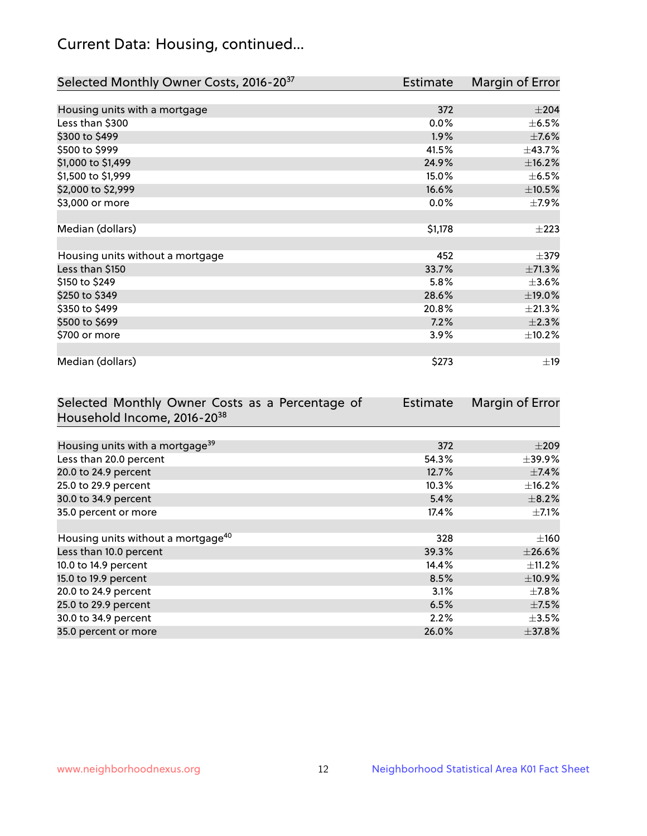## Current Data: Housing, continued...

| Selected Monthly Owner Costs, 2016-20 <sup>37</sup> | Estimate | Margin of Error |
|-----------------------------------------------------|----------|-----------------|
|                                                     |          |                 |
| Housing units with a mortgage                       | 372      | $\pm 204$       |
| Less than \$300                                     | 0.0%     | $\pm$ 6.5%      |
| \$300 to \$499                                      | 1.9%     | $\pm$ 7.6%      |
| \$500 to \$999                                      | 41.5%    | ±43.7%          |
| \$1,000 to \$1,499                                  | 24.9%    | ±16.2%          |
| \$1,500 to \$1,999                                  | 15.0%    | $\pm$ 6.5%      |
| \$2,000 to \$2,999                                  | 16.6%    | $\pm$ 10.5%     |
| \$3,000 or more                                     | $0.0\%$  | $\pm$ 7.9%      |
|                                                     |          |                 |
| Median (dollars)                                    | \$1,178  | $\pm 223$       |
|                                                     |          |                 |
| Housing units without a mortgage                    | 452      | $\pm$ 379       |
| Less than \$150                                     | 33.7%    | ±71.3%          |
| \$150 to \$249                                      | 5.8%     | $\pm 3.6\%$     |
| \$250 to \$349                                      | 28.6%    | ±19.0%          |
| \$350 to \$499                                      | 20.8%    | $\pm 21.3\%$    |
| \$500 to \$699                                      | 7.2%     | $\pm 2.3\%$     |
| \$700 or more                                       | 3.9%     | ±10.2%          |
|                                                     |          |                 |
| Median (dollars)                                    | \$273    | $\pm$ 19        |

| Selected Monthly Owner Costs as a Percentage of | <b>Estimate</b> | Margin of Error |
|-------------------------------------------------|-----------------|-----------------|
| Household Income, 2016-20 <sup>38</sup>         |                 |                 |
|                                                 |                 |                 |
| Housing units with a mortgage <sup>39</sup>     | 372             | $\pm 209$       |
| Less than 20.0 percent                          | 54.3%           | $\pm$ 39.9%     |
| 20.0 to 24.9 percent                            | 12.7%           | $\pm$ 7.4%      |
| 25.0 to 29.9 percent                            | 10.3%           | $\pm$ 16.2%     |
| 30.0 to 34.9 percent                            | 5.4%            | $\pm$ 8.2%      |
| 35.0 percent or more                            | 17.4%           | $\pm$ 7.1%      |
|                                                 |                 |                 |
| Housing units without a mortgage <sup>40</sup>  | 328             | $\pm 160$       |
| Less than 10.0 percent                          | 39.3%           | $\pm 26.6\%$    |
| 10.0 to 14.9 percent                            | 14.4%           | $\pm$ 11.2%     |
| 15.0 to 19.9 percent                            | 8.5%            | $\pm$ 10.9%     |
| 20.0 to 24.9 percent                            | 3.1%            | $\pm$ 7.8%      |
| 25.0 to 29.9 percent                            | 6.5%            | $\pm$ 7.5%      |
| 30.0 to 34.9 percent                            | 2.2%            | $\pm 3.5\%$     |
| 35.0 percent or more                            | 26.0%           | $\pm$ 37.8%     |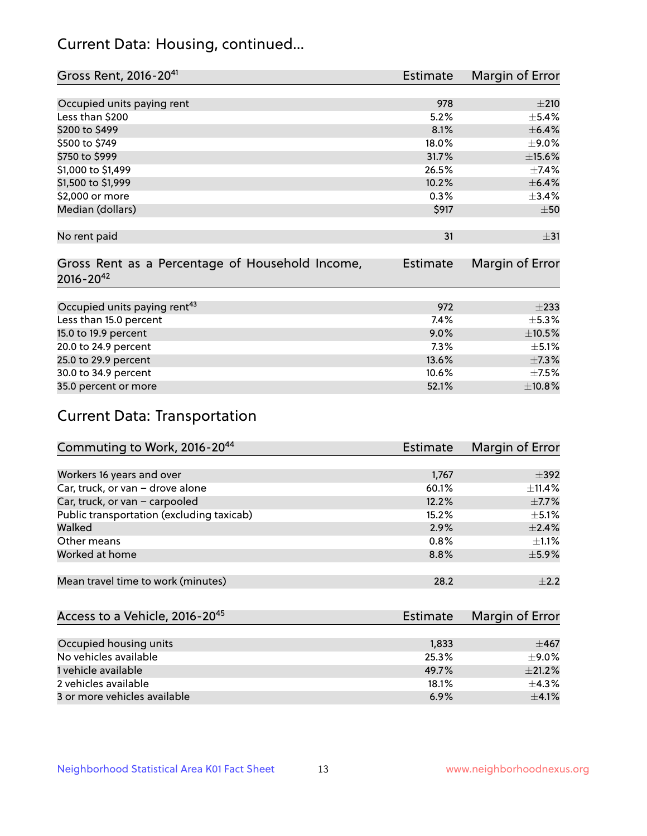## Current Data: Housing, continued...

| Gross Rent, 2016-20 <sup>41</sup>               | Estimate        | Margin of Error |
|-------------------------------------------------|-----------------|-----------------|
|                                                 |                 |                 |
| Occupied units paying rent                      | 978             | ±210            |
| Less than \$200                                 | 5.2%            | $\pm$ 5.4%      |
| \$200 to \$499                                  | 8.1%            | $\pm$ 6.4%      |
| \$500 to \$749                                  | 18.0%           | $\pm$ 9.0%      |
| \$750 to \$999                                  | 31.7%           | $\pm$ 15.6%     |
| \$1,000 to \$1,499                              | 26.5%           | $\pm$ 7.4%      |
| \$1,500 to \$1,999                              | 10.2%           | $\pm$ 6.4%      |
| \$2,000 or more                                 | 0.3%            | ±3.4%           |
| Median (dollars)                                | \$917           | $\pm 50$        |
|                                                 |                 |                 |
| No rent paid                                    | 31              | $\pm$ 31        |
|                                                 |                 |                 |
| Gross Rent as a Percentage of Household Income, | <b>Estimate</b> | Margin of Error |
| $2016 - 20^{42}$                                |                 |                 |
|                                                 |                 |                 |
| Occupied units paying rent <sup>43</sup>        | 972             | $\pm 233$       |
| Less than 15.0 percent                          | 7.4%            | $\pm$ 5.3%      |
| 15.0 to 19.9 percent                            | 9.0%            | $\pm 10.5\%$    |
| 20.0 to 24.9 percent                            | 7.3%            | $\pm$ 5.1%      |
| 25.0 to 29.9 percent                            | 13.6%           | ±7.3%           |
| 30.0 to 34.9 percent                            | 10.6%           | $\pm$ 7.5%      |
| 35.0 percent or more                            | 52.1%           | ±10.8%          |

# Current Data: Transportation

| Commuting to Work, 2016-20 <sup>44</sup>  | Estimate | Margin of Error |
|-------------------------------------------|----------|-----------------|
|                                           |          |                 |
| Workers 16 years and over                 | 1,767    | $\pm$ 392       |
| Car, truck, or van - drove alone          | 60.1%    | $\pm$ 11.4%     |
| Car, truck, or van - carpooled            | 12.2%    | $\pm$ 7.7%      |
| Public transportation (excluding taxicab) | 15.2%    | $\pm$ 5.1%      |
| Walked                                    | 2.9%     | ±2.4%           |
| Other means                               | 0.8%     | $\pm 1.1\%$     |
| Worked at home                            | 8.8%     | $\pm$ 5.9%      |
|                                           |          |                 |
| Mean travel time to work (minutes)        | 28.2     | $\pm 2.2$       |

| Access to a Vehicle, 2016-20 <sup>45</sup> | Estimate | Margin of Error |
|--------------------------------------------|----------|-----------------|
|                                            |          |                 |
| Occupied housing units                     | 1,833    | $+467$          |
| No vehicles available                      | 25.3%    | $+9.0%$         |
| 1 vehicle available                        | 49.7%    | $\pm 21.2\%$    |
| 2 vehicles available                       | 18.1%    | $+4.3%$         |
| 3 or more vehicles available               | 6.9%     | $\pm 4.1\%$     |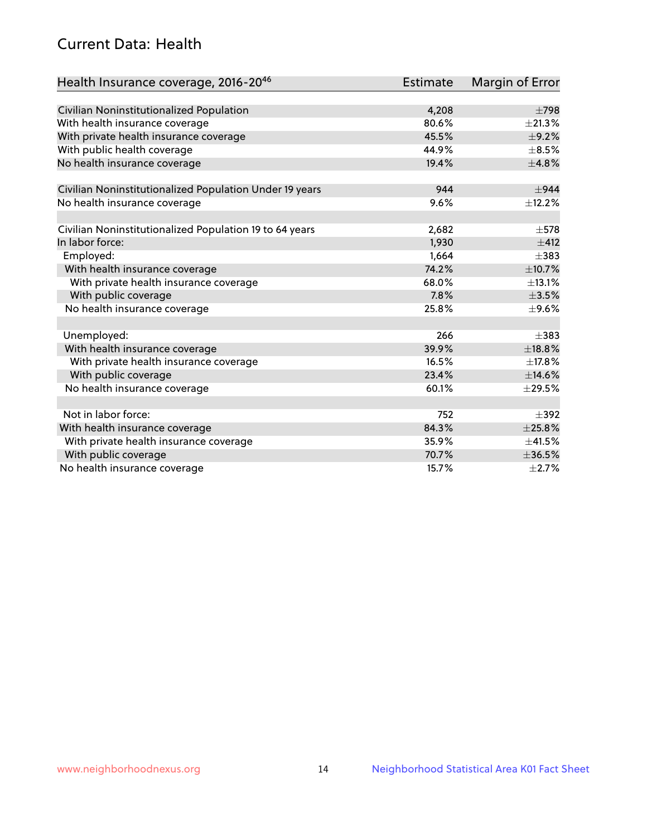## Current Data: Health

| Health Insurance coverage, 2016-2046                    | <b>Estimate</b> | Margin of Error |
|---------------------------------------------------------|-----------------|-----------------|
|                                                         |                 |                 |
| Civilian Noninstitutionalized Population                | 4,208           | $\pm 798$       |
| With health insurance coverage                          | 80.6%           | $\pm 21.3\%$    |
| With private health insurance coverage                  | 45.5%           | ±9.2%           |
| With public health coverage                             | 44.9%           | $\pm$ 8.5%      |
| No health insurance coverage                            | 19.4%           | ±4.8%           |
| Civilian Noninstitutionalized Population Under 19 years | 944             | $\pm$ 944       |
| No health insurance coverage                            | 9.6%            | ±12.2%          |
|                                                         |                 |                 |
| Civilian Noninstitutionalized Population 19 to 64 years | 2,682           | $\pm$ 578       |
| In labor force:                                         | 1,930           | $+412$          |
| Employed:                                               | 1,664           | $\pm$ 383       |
| With health insurance coverage                          | 74.2%           | ±10.7%          |
| With private health insurance coverage                  | 68.0%           | ±13.1%          |
| With public coverage                                    | 7.8%            | $\pm$ 3.5%      |
| No health insurance coverage                            | 25.8%           | $\pm$ 9.6%      |
|                                                         |                 |                 |
| Unemployed:                                             | 266             | $\pm$ 383       |
| With health insurance coverage                          | 39.9%           | ±18.8%          |
| With private health insurance coverage                  | 16.5%           | ±17.8%          |
| With public coverage                                    | 23.4%           | ±14.6%          |
| No health insurance coverage                            | 60.1%           | $\pm 29.5\%$    |
|                                                         |                 |                 |
| Not in labor force:                                     | 752             | $\pm$ 392       |
| With health insurance coverage                          | 84.3%           | ±25.8%          |
| With private health insurance coverage                  | 35.9%           | ±41.5%          |
| With public coverage                                    | 70.7%           | ±36.5%          |
| No health insurance coverage                            | 15.7%           | $\pm 2.7\%$     |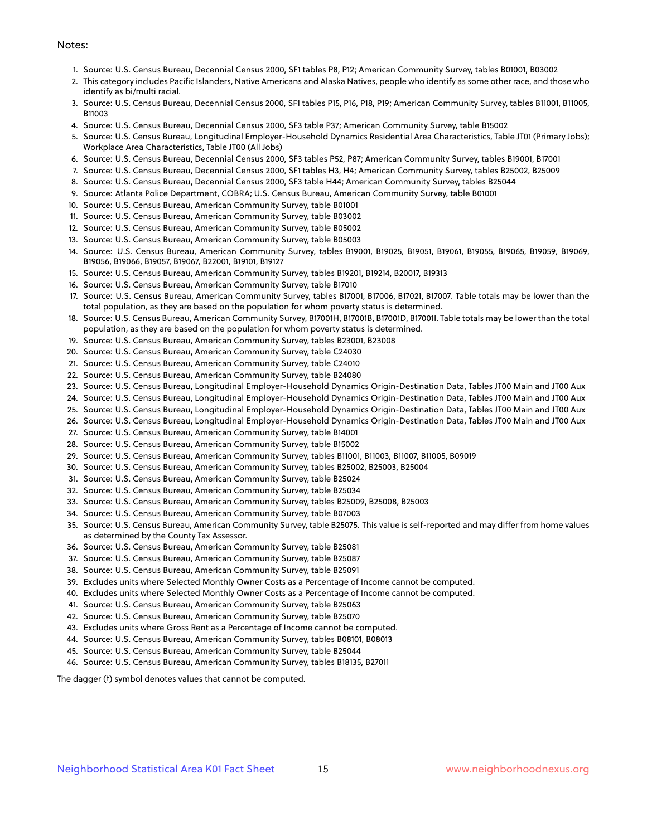#### Notes:

- 1. Source: U.S. Census Bureau, Decennial Census 2000, SF1 tables P8, P12; American Community Survey, tables B01001, B03002
- 2. This category includes Pacific Islanders, Native Americans and Alaska Natives, people who identify as some other race, and those who identify as bi/multi racial.
- 3. Source: U.S. Census Bureau, Decennial Census 2000, SF1 tables P15, P16, P18, P19; American Community Survey, tables B11001, B11005, B11003
- 4. Source: U.S. Census Bureau, Decennial Census 2000, SF3 table P37; American Community Survey, table B15002
- 5. Source: U.S. Census Bureau, Longitudinal Employer-Household Dynamics Residential Area Characteristics, Table JT01 (Primary Jobs); Workplace Area Characteristics, Table JT00 (All Jobs)
- 6. Source: U.S. Census Bureau, Decennial Census 2000, SF3 tables P52, P87; American Community Survey, tables B19001, B17001
- 7. Source: U.S. Census Bureau, Decennial Census 2000, SF1 tables H3, H4; American Community Survey, tables B25002, B25009
- 8. Source: U.S. Census Bureau, Decennial Census 2000, SF3 table H44; American Community Survey, tables B25044
- 9. Source: Atlanta Police Department, COBRA; U.S. Census Bureau, American Community Survey, table B01001
- 10. Source: U.S. Census Bureau, American Community Survey, table B01001
- 11. Source: U.S. Census Bureau, American Community Survey, table B03002
- 12. Source: U.S. Census Bureau, American Community Survey, table B05002
- 13. Source: U.S. Census Bureau, American Community Survey, table B05003
- 14. Source: U.S. Census Bureau, American Community Survey, tables B19001, B19025, B19051, B19061, B19055, B19065, B19059, B19069, B19056, B19066, B19057, B19067, B22001, B19101, B19127
- 15. Source: U.S. Census Bureau, American Community Survey, tables B19201, B19214, B20017, B19313
- 16. Source: U.S. Census Bureau, American Community Survey, table B17010
- 17. Source: U.S. Census Bureau, American Community Survey, tables B17001, B17006, B17021, B17007. Table totals may be lower than the total population, as they are based on the population for whom poverty status is determined.
- 18. Source: U.S. Census Bureau, American Community Survey, B17001H, B17001B, B17001D, B17001I. Table totals may be lower than the total population, as they are based on the population for whom poverty status is determined.
- 19. Source: U.S. Census Bureau, American Community Survey, tables B23001, B23008
- 20. Source: U.S. Census Bureau, American Community Survey, table C24030
- 21. Source: U.S. Census Bureau, American Community Survey, table C24010
- 22. Source: U.S. Census Bureau, American Community Survey, table B24080
- 23. Source: U.S. Census Bureau, Longitudinal Employer-Household Dynamics Origin-Destination Data, Tables JT00 Main and JT00 Aux
- 24. Source: U.S. Census Bureau, Longitudinal Employer-Household Dynamics Origin-Destination Data, Tables JT00 Main and JT00 Aux
- 25. Source: U.S. Census Bureau, Longitudinal Employer-Household Dynamics Origin-Destination Data, Tables JT00 Main and JT00 Aux
- 26. Source: U.S. Census Bureau, Longitudinal Employer-Household Dynamics Origin-Destination Data, Tables JT00 Main and JT00 Aux
- 27. Source: U.S. Census Bureau, American Community Survey, table B14001
- 28. Source: U.S. Census Bureau, American Community Survey, table B15002
- 29. Source: U.S. Census Bureau, American Community Survey, tables B11001, B11003, B11007, B11005, B09019
- 30. Source: U.S. Census Bureau, American Community Survey, tables B25002, B25003, B25004
- 31. Source: U.S. Census Bureau, American Community Survey, table B25024
- 32. Source: U.S. Census Bureau, American Community Survey, table B25034
- 33. Source: U.S. Census Bureau, American Community Survey, tables B25009, B25008, B25003
- 34. Source: U.S. Census Bureau, American Community Survey, table B07003
- 35. Source: U.S. Census Bureau, American Community Survey, table B25075. This value is self-reported and may differ from home values as determined by the County Tax Assessor.
- 36. Source: U.S. Census Bureau, American Community Survey, table B25081
- 37. Source: U.S. Census Bureau, American Community Survey, table B25087
- 38. Source: U.S. Census Bureau, American Community Survey, table B25091
- 39. Excludes units where Selected Monthly Owner Costs as a Percentage of Income cannot be computed.
- 40. Excludes units where Selected Monthly Owner Costs as a Percentage of Income cannot be computed.
- 41. Source: U.S. Census Bureau, American Community Survey, table B25063
- 42. Source: U.S. Census Bureau, American Community Survey, table B25070
- 43. Excludes units where Gross Rent as a Percentage of Income cannot be computed.
- 44. Source: U.S. Census Bureau, American Community Survey, tables B08101, B08013
- 45. Source: U.S. Census Bureau, American Community Survey, table B25044
- 46. Source: U.S. Census Bureau, American Community Survey, tables B18135, B27011

The dagger (†) symbol denotes values that cannot be computed.